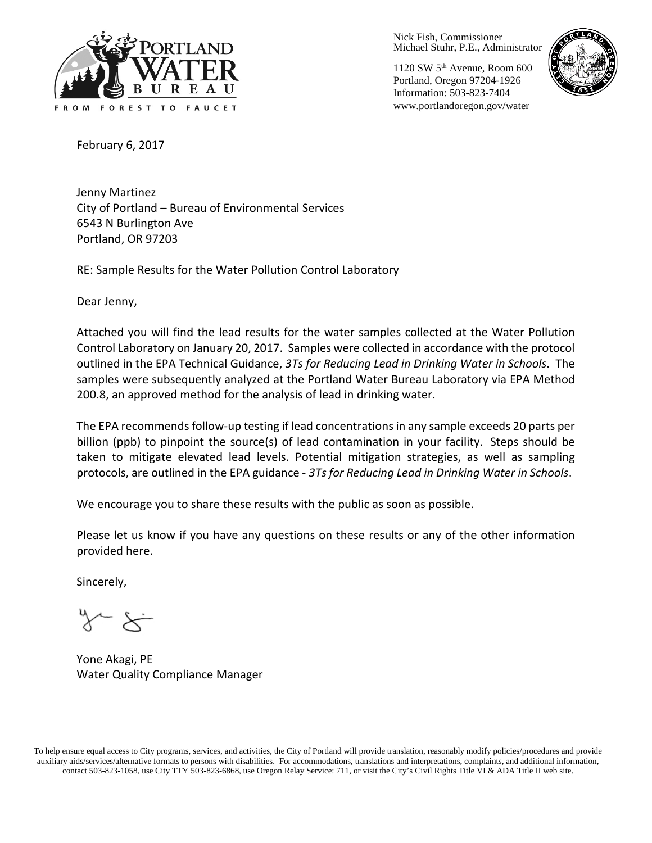

Nick Fish, Commissioner Michael Stuhr, P.E., Administrator

1120 SW 5th Avenue, Room 600 Portland, Oregon 97204-1926 Information: 503-823-7404 www.portlandoregon.gov/water



February 6, 2017

Jenny Martinez City of Portland – Bureau of Environmental Services 6543 N Burlington Ave Portland, OR 97203

RE: Sample Results for the Water Pollution Control Laboratory

Dear Jenny,

Attached you will find the lead results for the water samples collected at the Water Pollution Control Laboratory on January 20, 2017. Samples were collected in accordance with the protocol outlined in the EPA Technical Guidance, *3Ts for Reducing Lead in Drinking Water in Schools*. The samples were subsequently analyzed at the Portland Water Bureau Laboratory via EPA Method 200.8, an approved method for the analysis of lead in drinking water.

The EPA recommends follow-up testing if lead concentrations in any sample exceeds 20 parts per billion (ppb) to pinpoint the source(s) of lead contamination in your facility. Steps should be taken to mitigate elevated lead levels. Potential mitigation strategies, as well as sampling protocols, are outlined in the EPA guidance - *3Ts for Reducing Lead in Drinking Water in Schools*.

We encourage you to share these results with the public as soon as possible.

Please let us know if you have any questions on these results or any of the other information provided here.

Sincerely,

~ '≺

Yone Akagi, PE Water Quality Compliance Manager

To help ensure equal access to City programs, services, and activities, the City of Portland will provide translation, reasonably modify policies/procedures and provide auxiliary aids/services/alternative formats to persons with disabilities. For accommodations, translations and interpretations, complaints, and additional information, contact 503-823-1058, use City TTY 503-823-6868, use Oregon Relay Service: 711, or visi[t the City's Civil Rights Title VI & ADA Title II web site.](http://www.portlandoregon.gov/oehr/66458)